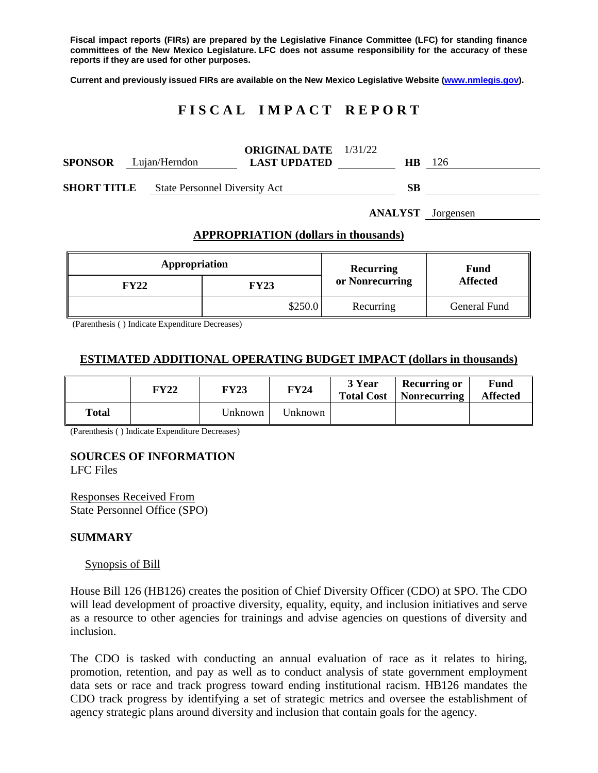**Fiscal impact reports (FIRs) are prepared by the Legislative Finance Committee (LFC) for standing finance committees of the New Mexico Legislature. LFC does not assume responsibility for the accuracy of these reports if they are used for other purposes.**

**Current and previously issued FIRs are available on the New Mexico Legislative Website [\(www.nmlegis.gov\)](http://www.nmlegis.gov/).**

# **F I S C A L I M P A C T R E P O R T**

| <b>SPONSOR</b>     |  | Lujan/Herndon                        | <b>ORIGINAL DATE</b> 1/31/22<br><b>LAST UPDATED</b> | HВ | 126 |
|--------------------|--|--------------------------------------|-----------------------------------------------------|----|-----|
| <b>SHORT TITLE</b> |  | <b>State Personnel Diversity Act</b> |                                                     | SВ |     |

**ANALYST** Jorgensen

#### **APPROPRIATION (dollars in thousands)**

| Appropriation |             | Recurring       | Fund<br><b>Affected</b> |  |
|---------------|-------------|-----------------|-------------------------|--|
| <b>FY22</b>   | <b>FY23</b> | or Nonrecurring |                         |  |
|               | \$250.0     | Recurring       | General Fund            |  |

(Parenthesis ( ) Indicate Expenditure Decreases)

### **ESTIMATED ADDITIONAL OPERATING BUDGET IMPACT (dollars in thousands)**

|       | <b>FY22</b> | <b>FY23</b> | <b>FY24</b> | 3 Year<br><b>Total Cost</b> | <b>Recurring or</b><br><b>Nonrecurring</b> | <b>Fund</b><br><b>Affected</b> |
|-------|-------------|-------------|-------------|-----------------------------|--------------------------------------------|--------------------------------|
| Total |             | Unknown     | Unknown     |                             |                                            |                                |

(Parenthesis ( ) Indicate Expenditure Decreases)

# **SOURCES OF INFORMATION**

LFC Files

Responses Received From State Personnel Office (SPO)

#### **SUMMARY**

#### Synopsis of Bill

House Bill 126 (HB126) creates the position of Chief Diversity Officer (CDO) at SPO. The CDO will lead development of proactive diversity, equality, equity, and inclusion initiatives and serve as a resource to other agencies for trainings and advise agencies on questions of diversity and inclusion.

The CDO is tasked with conducting an annual evaluation of race as it relates to hiring, promotion, retention, and pay as well as to conduct analysis of state government employment data sets or race and track progress toward ending institutional racism. HB126 mandates the CDO track progress by identifying a set of strategic metrics and oversee the establishment of agency strategic plans around diversity and inclusion that contain goals for the agency.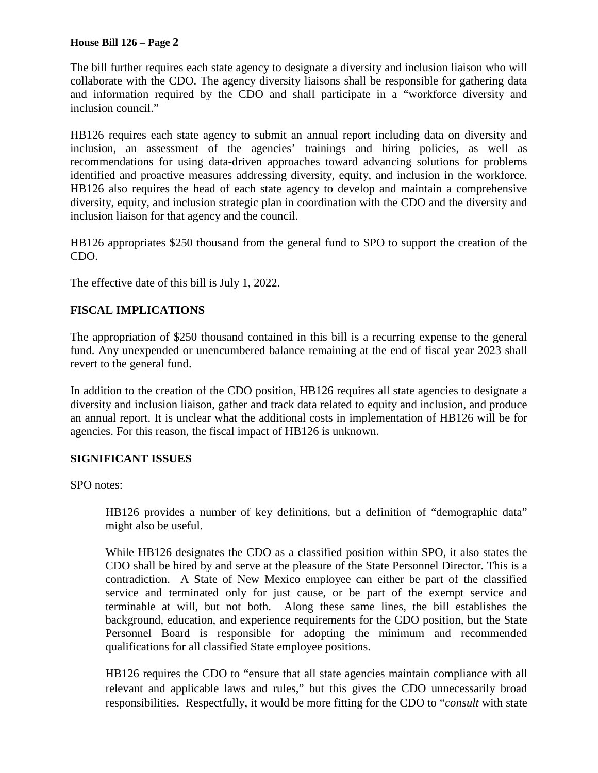#### **House Bill 126 – Page 2**

The bill further requires each state agency to designate a diversity and inclusion liaison who will collaborate with the CDO. The agency diversity liaisons shall be responsible for gathering data and information required by the CDO and shall participate in a "workforce diversity and inclusion council."

HB126 requires each state agency to submit an annual report including data on diversity and inclusion, an assessment of the agencies' trainings and hiring policies, as well as recommendations for using data-driven approaches toward advancing solutions for problems identified and proactive measures addressing diversity, equity, and inclusion in the workforce. HB126 also requires the head of each state agency to develop and maintain a comprehensive diversity, equity, and inclusion strategic plan in coordination with the CDO and the diversity and inclusion liaison for that agency and the council.

HB126 appropriates \$250 thousand from the general fund to SPO to support the creation of the CDO.

The effective date of this bill is July 1, 2022.

# **FISCAL IMPLICATIONS**

The appropriation of \$250 thousand contained in this bill is a recurring expense to the general fund. Any unexpended or unencumbered balance remaining at the end of fiscal year 2023 shall revert to the general fund.

In addition to the creation of the CDO position, HB126 requires all state agencies to designate a diversity and inclusion liaison, gather and track data related to equity and inclusion, and produce an annual report. It is unclear what the additional costs in implementation of HB126 will be for agencies. For this reason, the fiscal impact of HB126 is unknown.

#### **SIGNIFICANT ISSUES**

SPO notes:

HB126 provides a number of key definitions, but a definition of "demographic data" might also be useful.

While HB126 designates the CDO as a classified position within SPO, it also states the CDO shall be hired by and serve at the pleasure of the State Personnel Director. This is a contradiction. A State of New Mexico employee can either be part of the classified service and terminated only for just cause, or be part of the exempt service and terminable at will, but not both. Along these same lines, the bill establishes the background, education, and experience requirements for the CDO position, but the State Personnel Board is responsible for adopting the minimum and recommended qualifications for all classified State employee positions.

HB126 requires the CDO to "ensure that all state agencies maintain compliance with all relevant and applicable laws and rules," but this gives the CDO unnecessarily broad responsibilities. Respectfully, it would be more fitting for the CDO to "*consult* with state